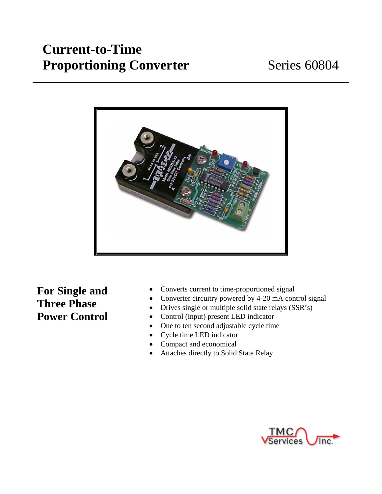# **Current-to-Time**  Proportioning Converter Series 60804



**For Single and Three Phase Power Control** 

- Converts current to time-proportioned signal
- Converter circuitry powered by 4-20 mA control signal
- Drives single or multiple solid state relays (SSR's)
- Control (input) present LED indicator
- One to ten second adjustable cycle time
- Cycle time LED indicator
- Compact and economical
- Attaches directly to Solid State Relay

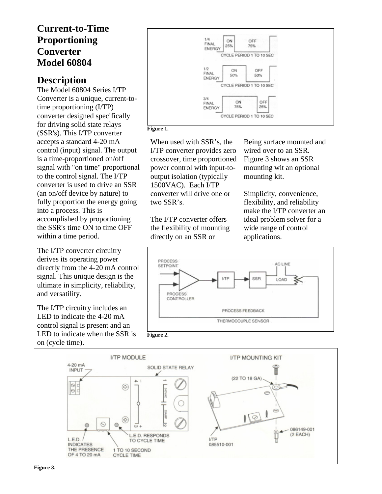### **Current-to-Time Proportioning Converter Model 60804**

### **Description**

The Model 60804 Series I/TP Converter is a unique, current-totime proportioning (I/TP) converter designed specifically for driving solid state relays (SSR's). This I/TP converter accepts a standard 4-20 mA control (input) signal. The output is a time-proportioned on/off signal with "on time" proportional to the control signal. The I/TP converter is used to drive an SSR (an on/off device by nature) to fully proportion the energy going into a process. This is accomplished by proportioning the SSR's time ON to time OFF within a time period.

The I/TP converter circuitry derives its operating power directly from the 4-20 mA control signal. This unique design is the ultimate in simplicity, reliability, and versatility.

The I/TP circuitry includes an LED to indicate the 4-20 mA control signal is present and an LED to indicate when the SSR is on (cycle time).



**Figure 1.** 

When used with SSR's, the I/TP converter provides zero crossover, time proportioned power control with input-tooutput isolation (typically 1500VAC). Each I/TP converter will drive one or two SSR's.

The I/TP converter offers the flexibility of mounting directly on an SSR or

Being surface mounted and wired over to an SSR. Figure 3 shows an SSR mounting wit an optional mounting kit.

Simplicity, convenience, flexibility, and reliability make the I/TP converter an ideal problem solver for a wide range of control applications.